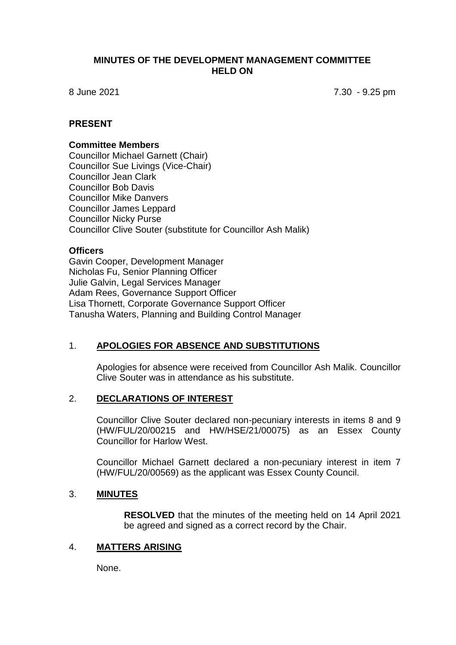#### **MINUTES OF THE DEVELOPMENT MANAGEMENT COMMITTEE HELD ON**

8 June 2021 7.30 - 9.25 pm

#### **PRESENT**

#### **Committee Members**

Councillor Michael Garnett (Chair) Councillor Sue Livings (Vice-Chair) Councillor Jean Clark Councillor Bob Davis Councillor Mike Danvers Councillor James Leppard Councillor Nicky Purse Councillor Clive Souter (substitute for Councillor Ash Malik)

#### **Officers**

Gavin Cooper, Development Manager Nicholas Fu, Senior Planning Officer Julie Galvin, Legal Services Manager Adam Rees, Governance Support Officer Lisa Thornett, Corporate Governance Support Officer Tanusha Waters, Planning and Building Control Manager

### 1. **APOLOGIES FOR ABSENCE AND SUBSTITUTIONS**

Apologies for absence were received from Councillor Ash Malik. Councillor Clive Souter was in attendance as his substitute.

### 2. **DECLARATIONS OF INTEREST**

Councillor Clive Souter declared non-pecuniary interests in items 8 and 9 (HW/FUL/20/00215 and HW/HSE/21/00075) as an Essex County Councillor for Harlow West.

Councillor Michael Garnett declared a non-pecuniary interest in item 7 (HW/FUL/20/00569) as the applicant was Essex County Council.

#### 3. **MINUTES**

**RESOLVED** that the minutes of the meeting held on 14 April 2021 be agreed and signed as a correct record by the Chair.

#### 4. **MATTERS ARISING**

None.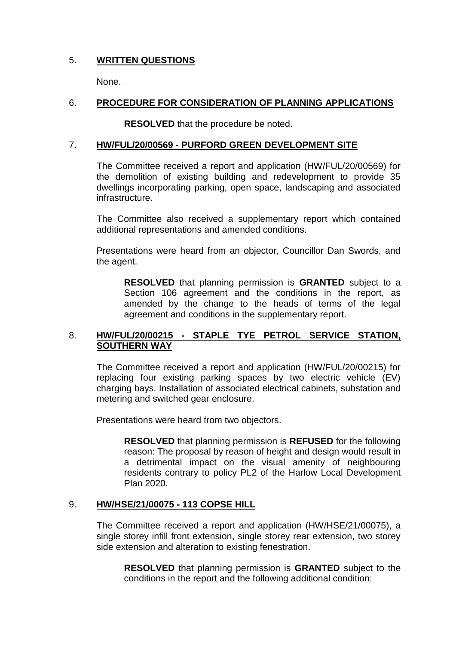# 5. **WRITTEN QUESTIONS**

None.

# 6. **PROCEDURE FOR CONSIDERATION OF PLANNING APPLICATIONS**

**RESOLVED** that the procedure be noted.

### 7. **HW/FUL/20/00569 - PURFORD GREEN DEVELOPMENT SITE**

The Committee received a report and application (HW/FUL/20/00569) for the demolition of existing building and redevelopment to provide 35 dwellings incorporating parking, open space, landscaping and associated infrastructure.

The Committee also received a supplementary report which contained additional representations and amended conditions.

Presentations were heard from an objector, Councillor Dan Swords, and the agent.

**RESOLVED** that planning permission is **GRANTED** subject to a Section 106 agreement and the conditions in the report, as amended by the change to the heads of terms of the legal agreement and conditions in the supplementary report.

## 8. **HW/FUL/20/00215 - STAPLE TYE PETROL SERVICE STATION, SOUTHERN WAY**

The Committee received a report and application (HW/FUL/20/00215) for replacing four existing parking spaces by two electric vehicle (EV) charging bays. Installation of associated electrical cabinets, substation and metering and switched gear enclosure.

Presentations were heard from two objectors.

**RESOLVED** that planning permission is **REFUSED** for the following reason: The proposal by reason of height and design would result in a detrimental impact on the visual amenity of neighbouring residents contrary to policy PL2 of the Harlow Local Development Plan 2020.

# 9. **HW/HSE/21/00075 - 113 COPSE HILL**

The Committee received a report and application (HW/HSE/21/00075), a single storey infill front extension, single storey rear extension, two storey side extension and alteration to existing fenestration.

**RESOLVED** that planning permission is **GRANTED** subject to the conditions in the report and the following additional condition: